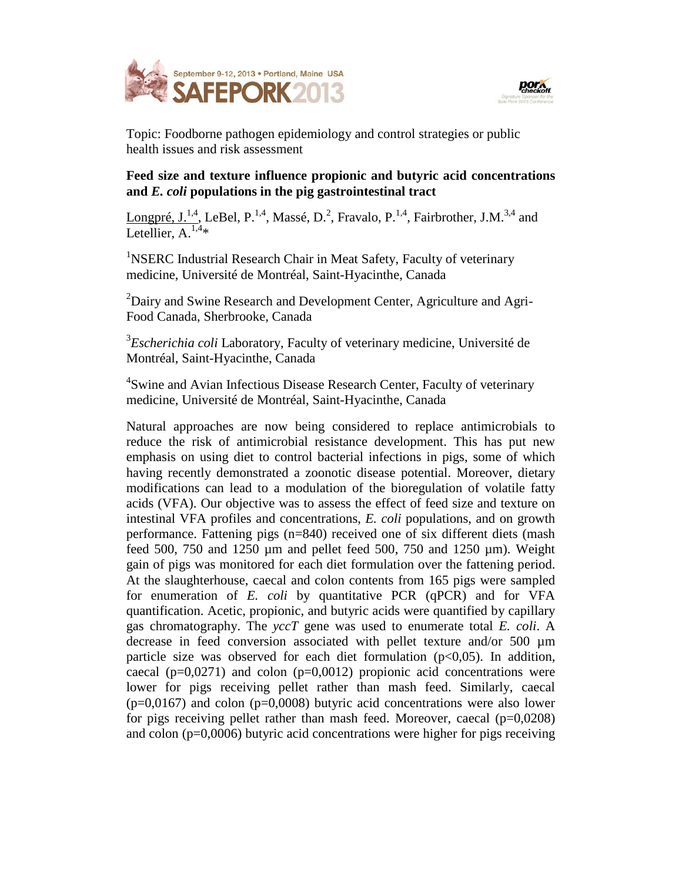



Topic: Foodborne pathogen epidemiology and control strategies or public health issues and risk assessment

## **Feed size and texture influence propionic and butyric acid concentrations and** *E. coli* **populations in the pig gastrointestinal tract**

Longpré, J.<sup>1,4</sup>, LeBel, P.<sup>1,4</sup>, Massé, D.<sup>2</sup>, Fravalo, P.<sup>1,4</sup>, Fairbrother, J.M.<sup>3,4</sup> and Letellier,  $A^{1,4*}$ 

<sup>1</sup>NSERC Industrial Research Chair in Meat Safety, Faculty of veterinary medicine, Université de Montréal, Saint-Hyacinthe, Canada

<sup>2</sup>Dairy and Swine Research and Development Center, Agriculture and Agri-Food Canada, Sherbrooke, Canada

3 *Escherichia coli* Laboratory, Faculty of veterinary medicine, Université de Montréal, Saint-Hyacinthe, Canada

<sup>4</sup>Swine and Avian Infectious Disease Research Center, Faculty of veterinary medicine, Université de Montréal, Saint-Hyacinthe, Canada

Natural approaches are now being considered to replace antimicrobials to reduce the risk of antimicrobial resistance development. This has put new emphasis on using diet to control bacterial infections in pigs, some of which having recently demonstrated a zoonotic disease potential. Moreover, dietary modifications can lead to a modulation of the bioregulation of volatile fatty acids (VFA). Our objective was to assess the effect of feed size and texture on intestinal VFA profiles and concentrations, *E. coli* populations, and on growth performance. Fattening pigs (n=840) received one of six different diets (mash feed 500, 750 and 1250  $\mu$ m and pellet feed 500, 750 and 1250  $\mu$ m). Weight gain of pigs was monitored for each diet formulation over the fattening period. At the slaughterhouse, caecal and colon contents from 165 pigs were sampled for enumeration of *E. coli* by quantitative PCR (qPCR) and for VFA quantification. Acetic, propionic, and butyric acids were quantified by capillary gas chromatography. The *yccT* gene was used to enumerate total *E. coli*. A decrease in feed conversion associated with pellet texture and/or 500 µm particle size was observed for each diet formulation  $(p<0.05)$ . In addition, caecal ( $p=0.0271$ ) and colon ( $p=0.0012$ ) propionic acid concentrations were lower for pigs receiving pellet rather than mash feed. Similarly, caecal  $(p=0,0167)$  and colon  $(p=0,0008)$  butyric acid concentrations were also lower for pigs receiving pellet rather than mash feed. Moreover, caecal  $(p=0.0208)$ and colon (p=0,0006) butyric acid concentrations were higher for pigs receiving